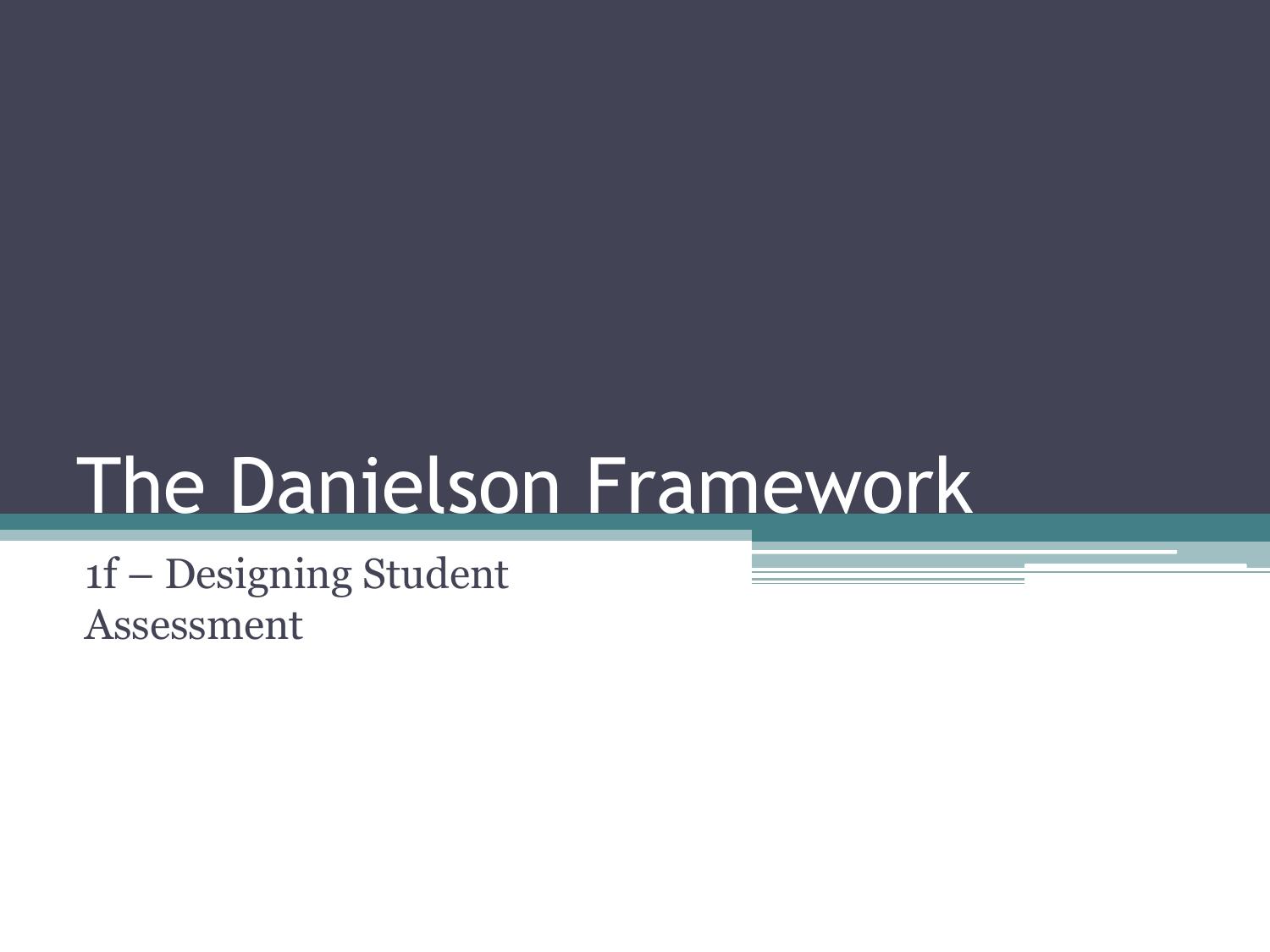# The Danielson Framework

1f – Designing Student Assessment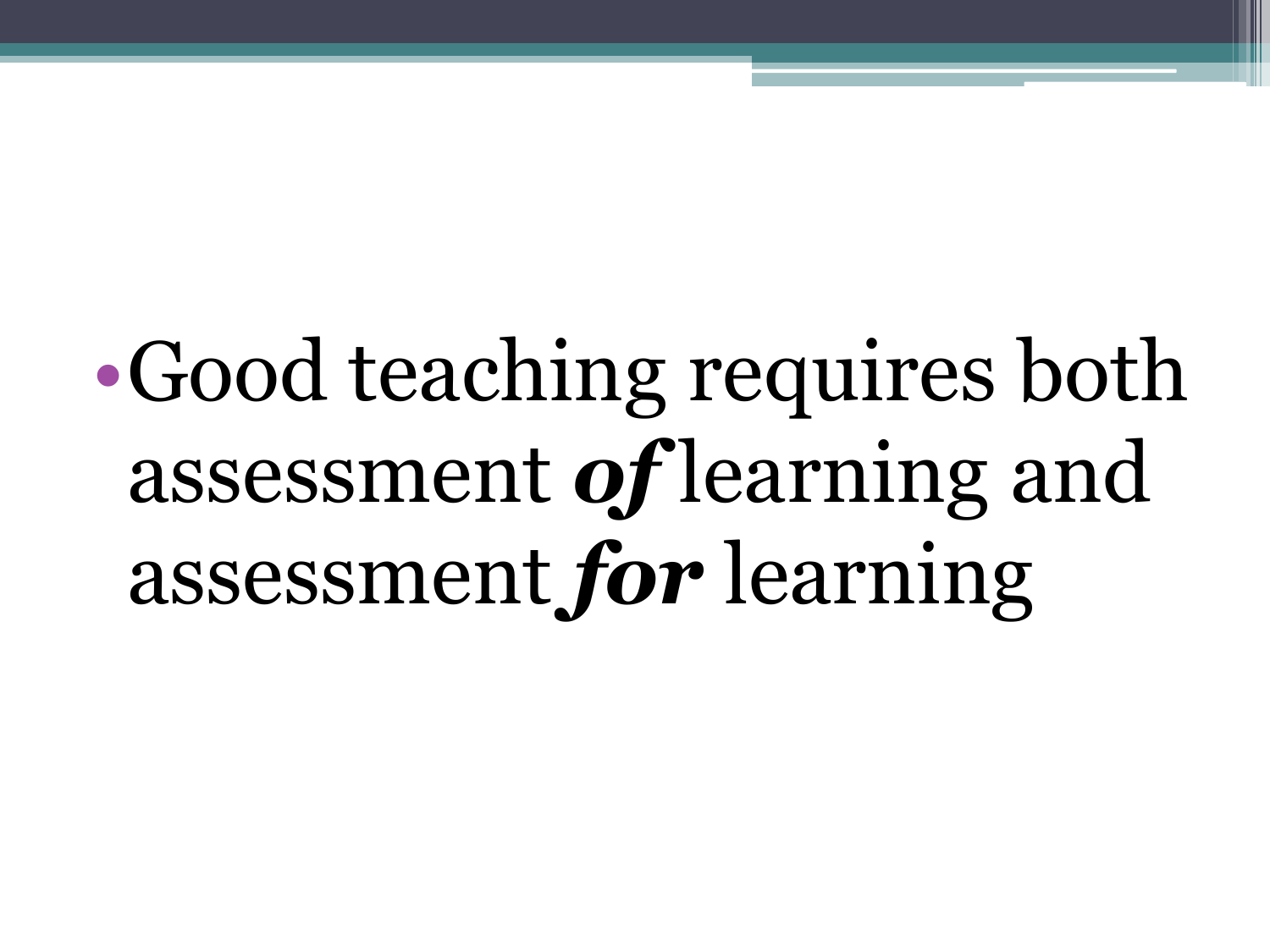# •Good teaching requires both assessment *of* learning and assessment *for* learning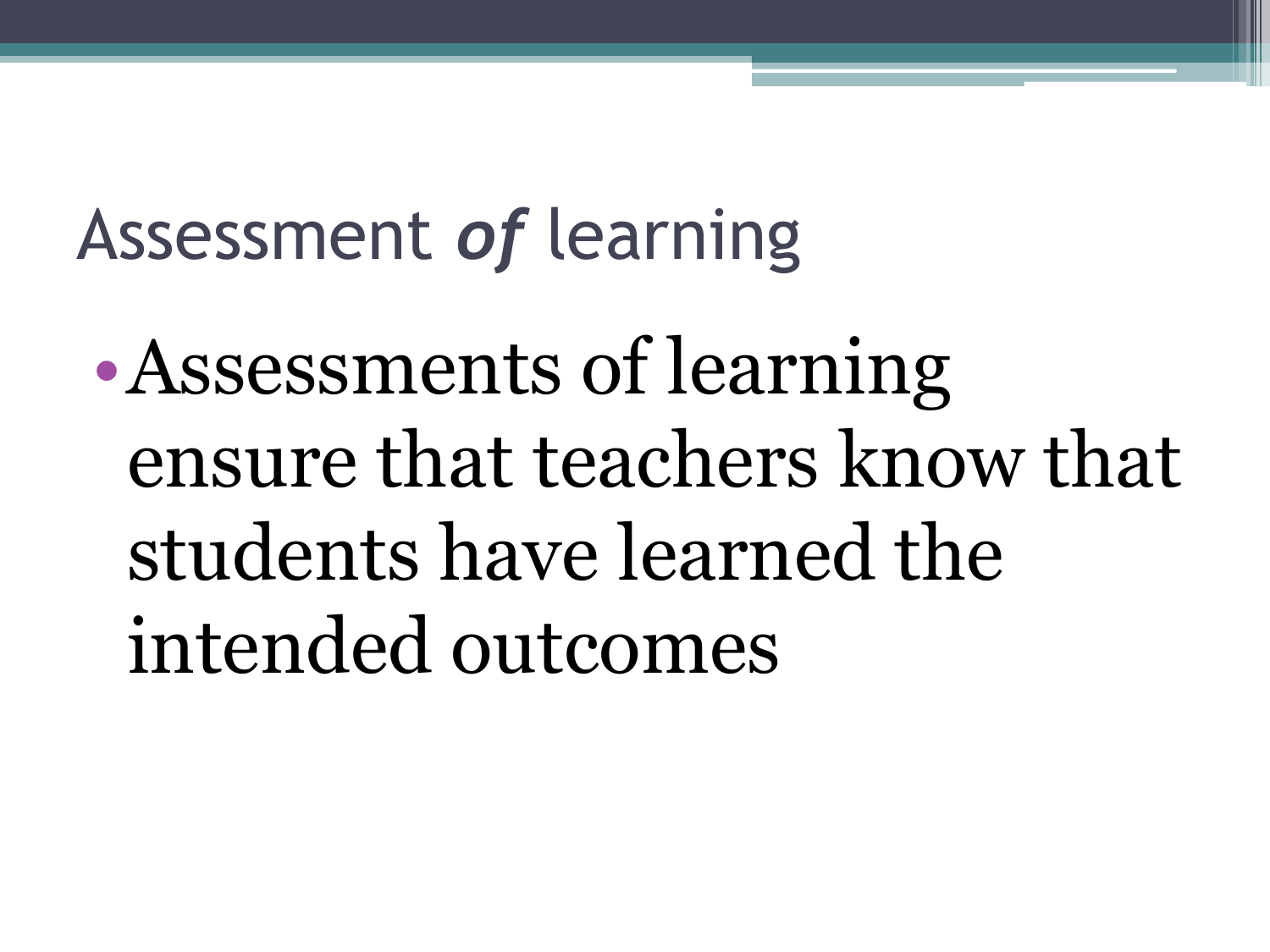### Assessment *of* learning

•Assessments of learning ensure that teachers know that students have learned the intended outcomes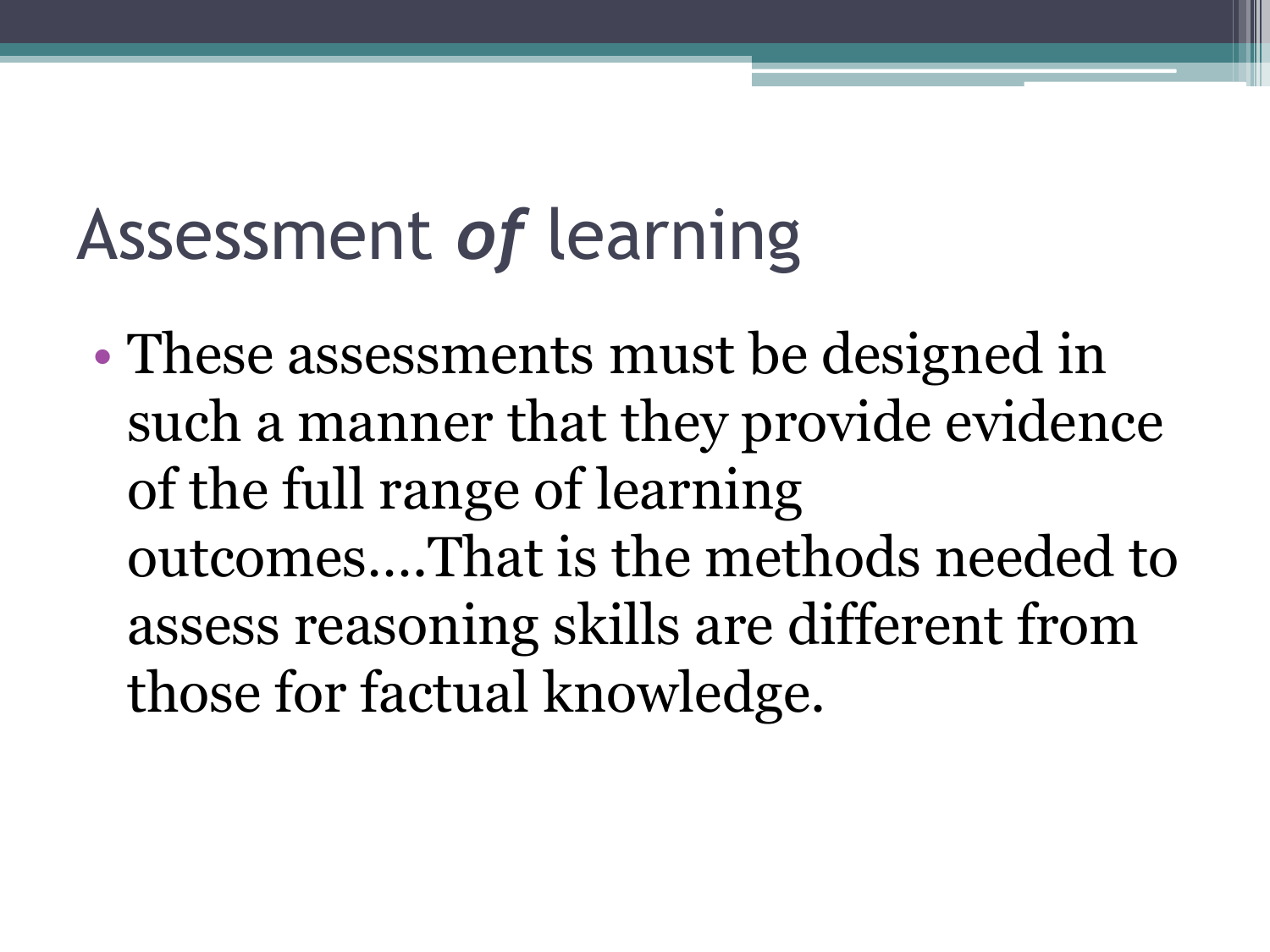### Assessment *of* learning

• These assessments must be designed in such a manner that they provide evidence of the full range of learning outcomes….That is the methods needed to assess reasoning skills are different from those for factual knowledge.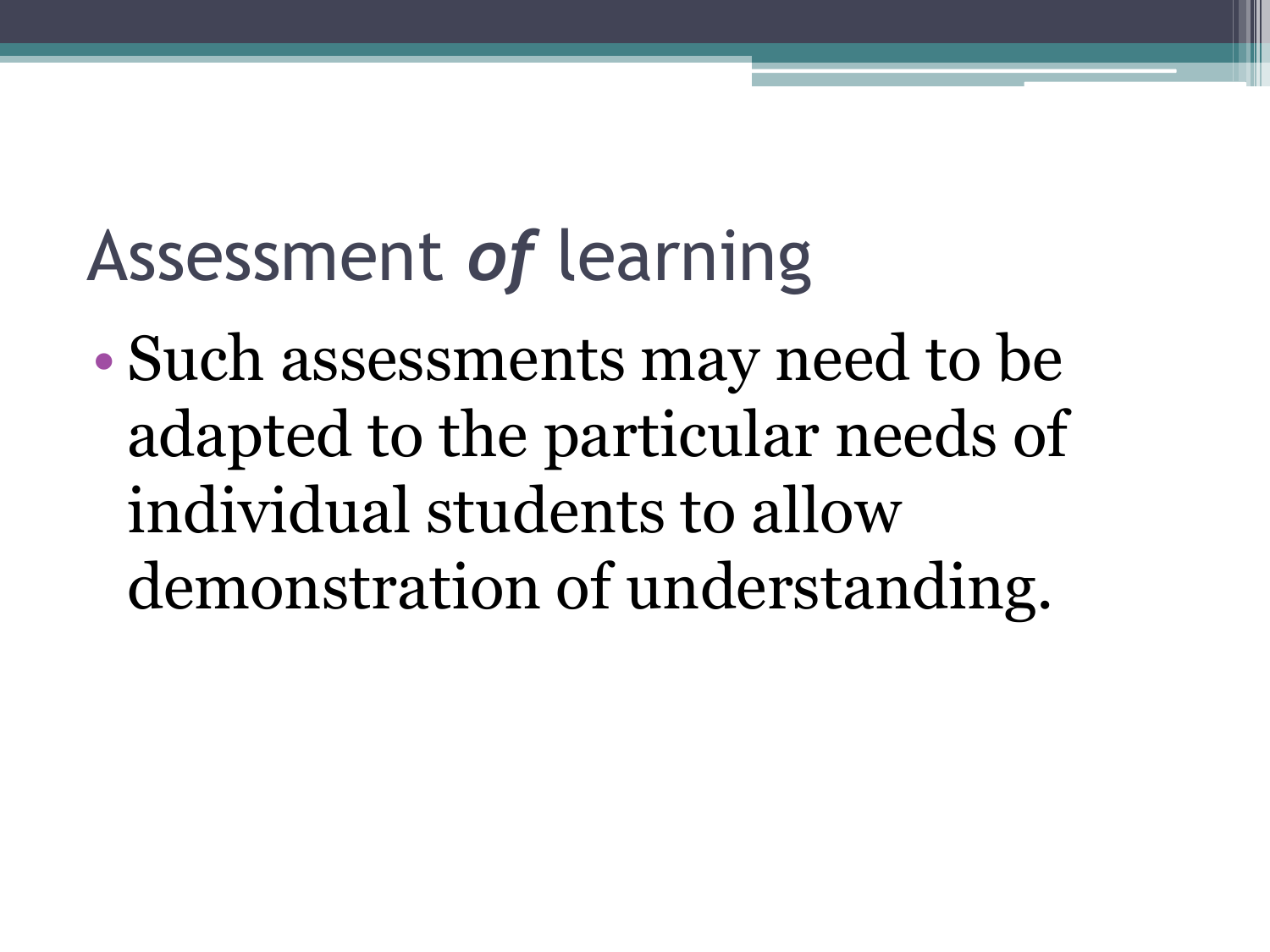### Assessment *of* learning

• Such assessments may need to be adapted to the particular needs of individual students to allow demonstration of understanding.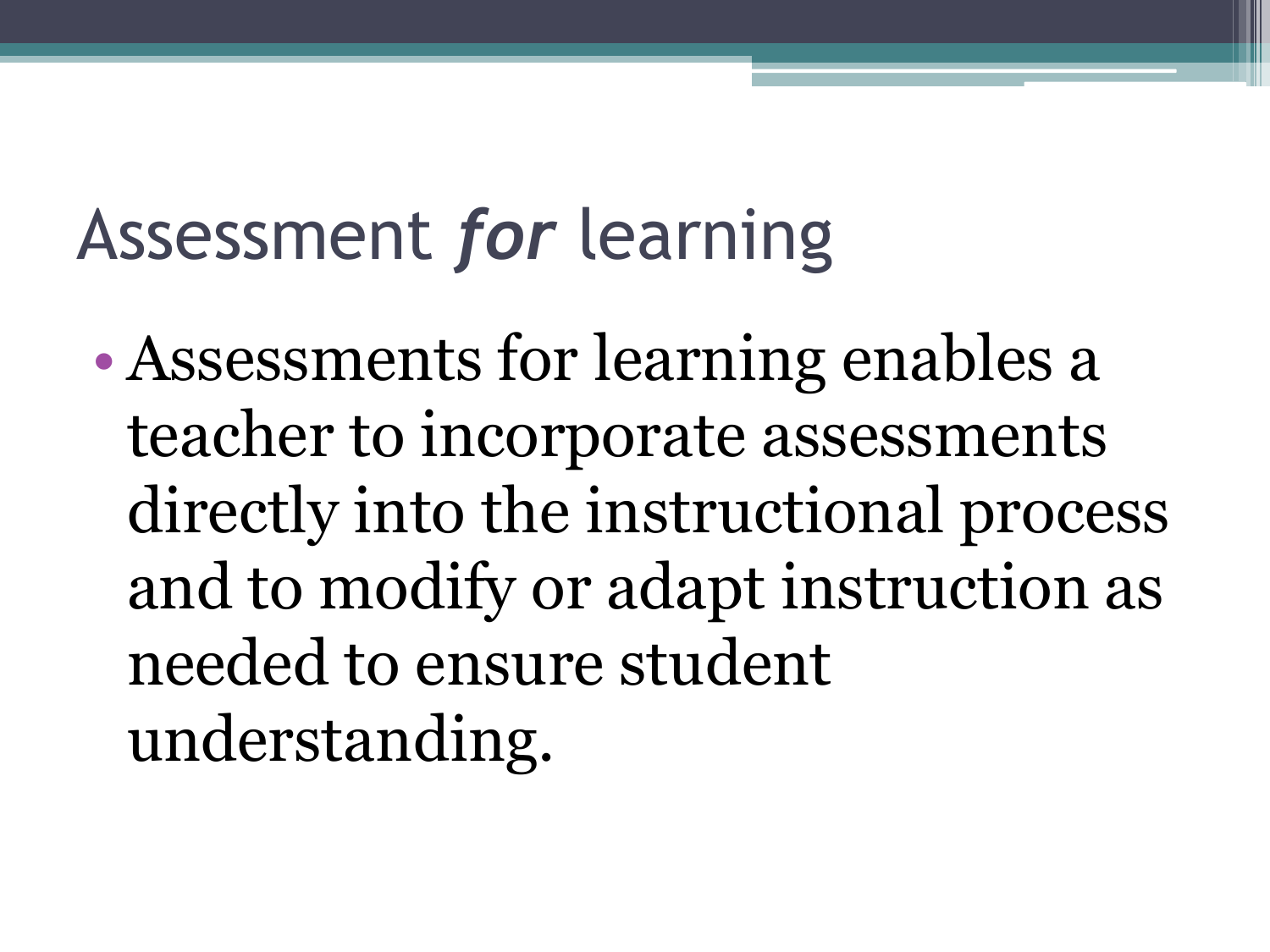# Assessment *for* learning

• Assessments for learning enables a teacher to incorporate assessments directly into the instructional process and to modify or adapt instruction as needed to ensure student understanding.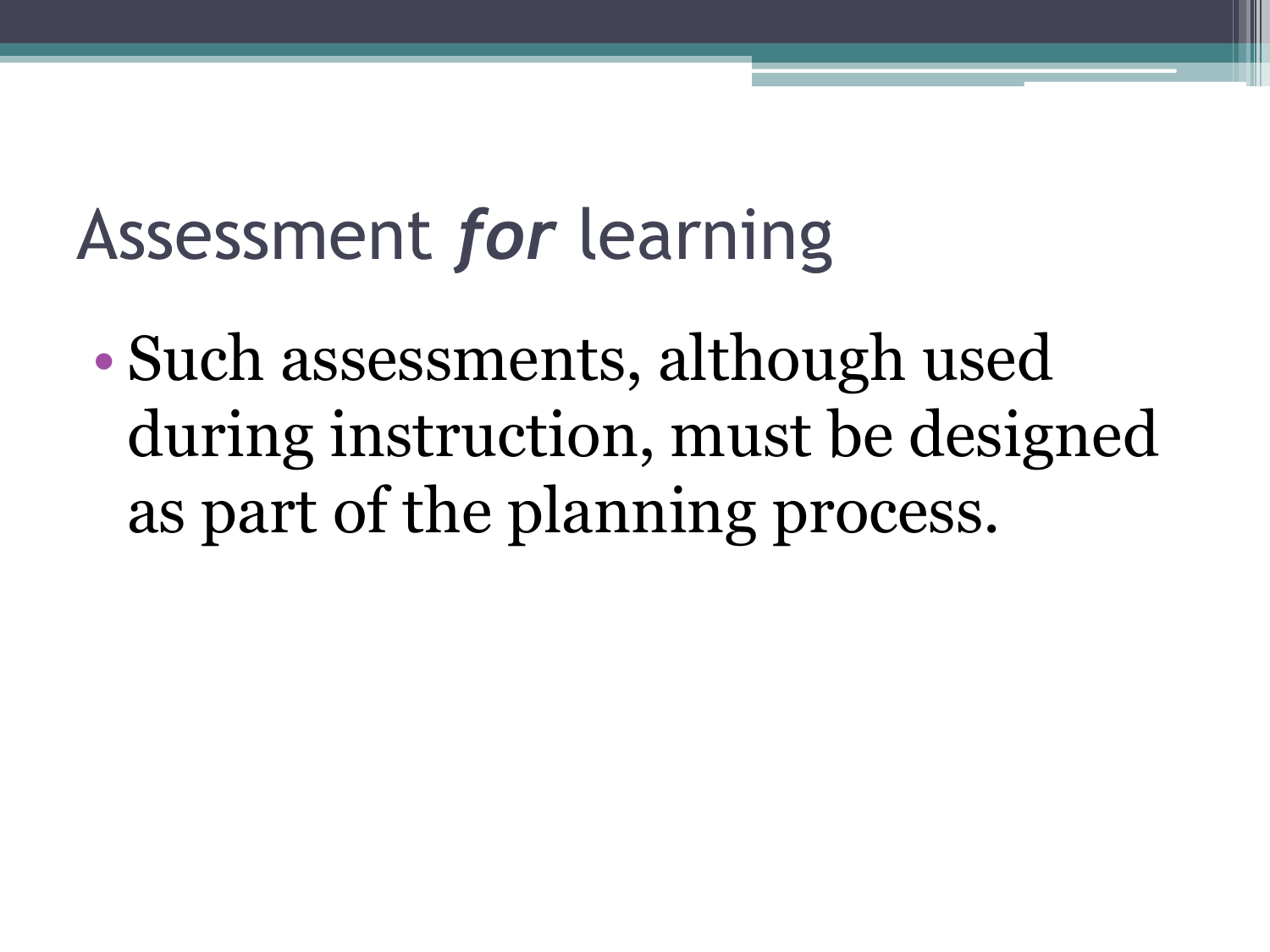### Assessment *for* learning

• Such assessments, although used during instruction, must be designed as part of the planning process.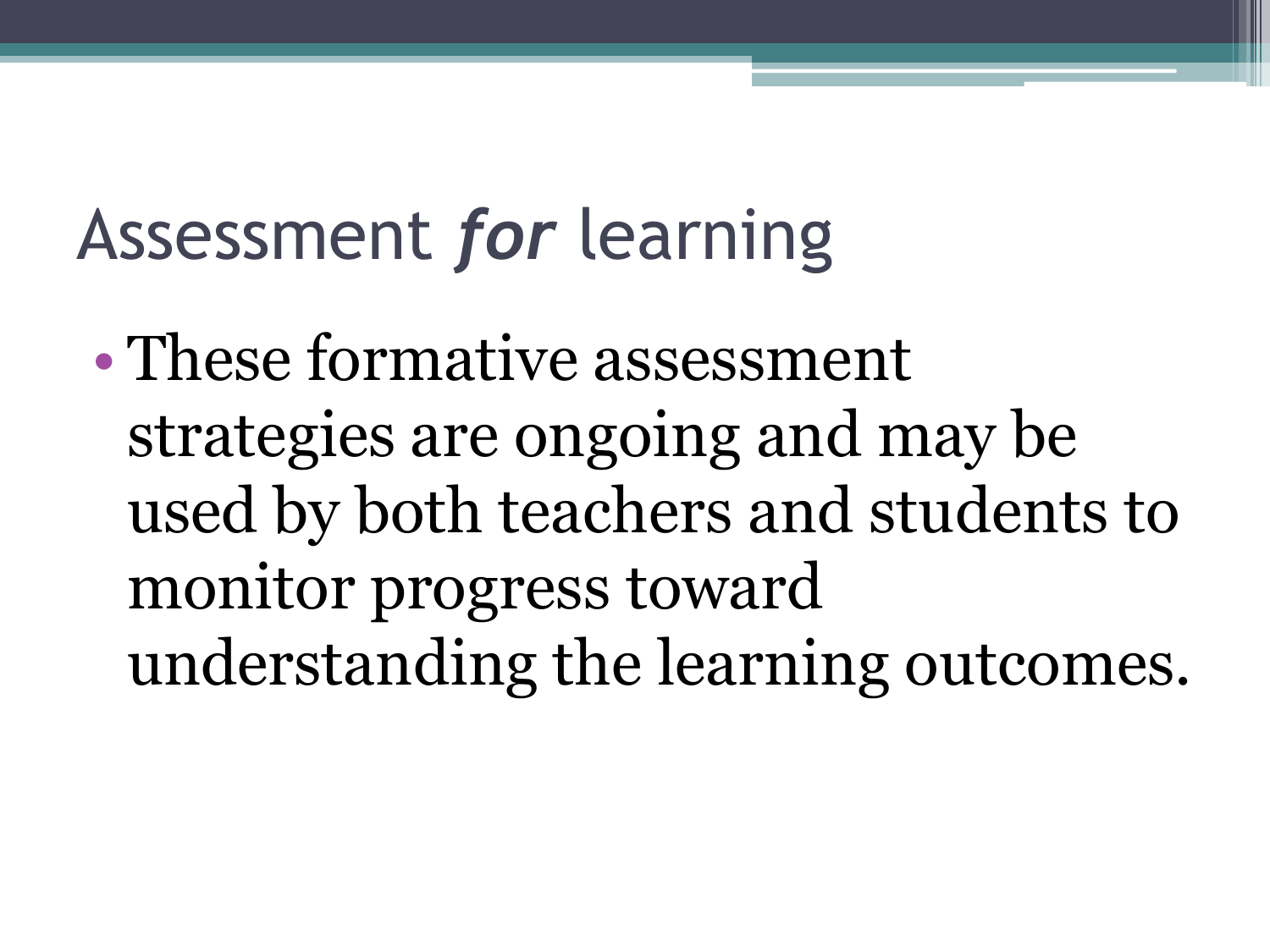### Assessment *for* learning

• These formative assessment strategies are ongoing and may be used by both teachers and students to monitor progress toward understanding the learning outcomes.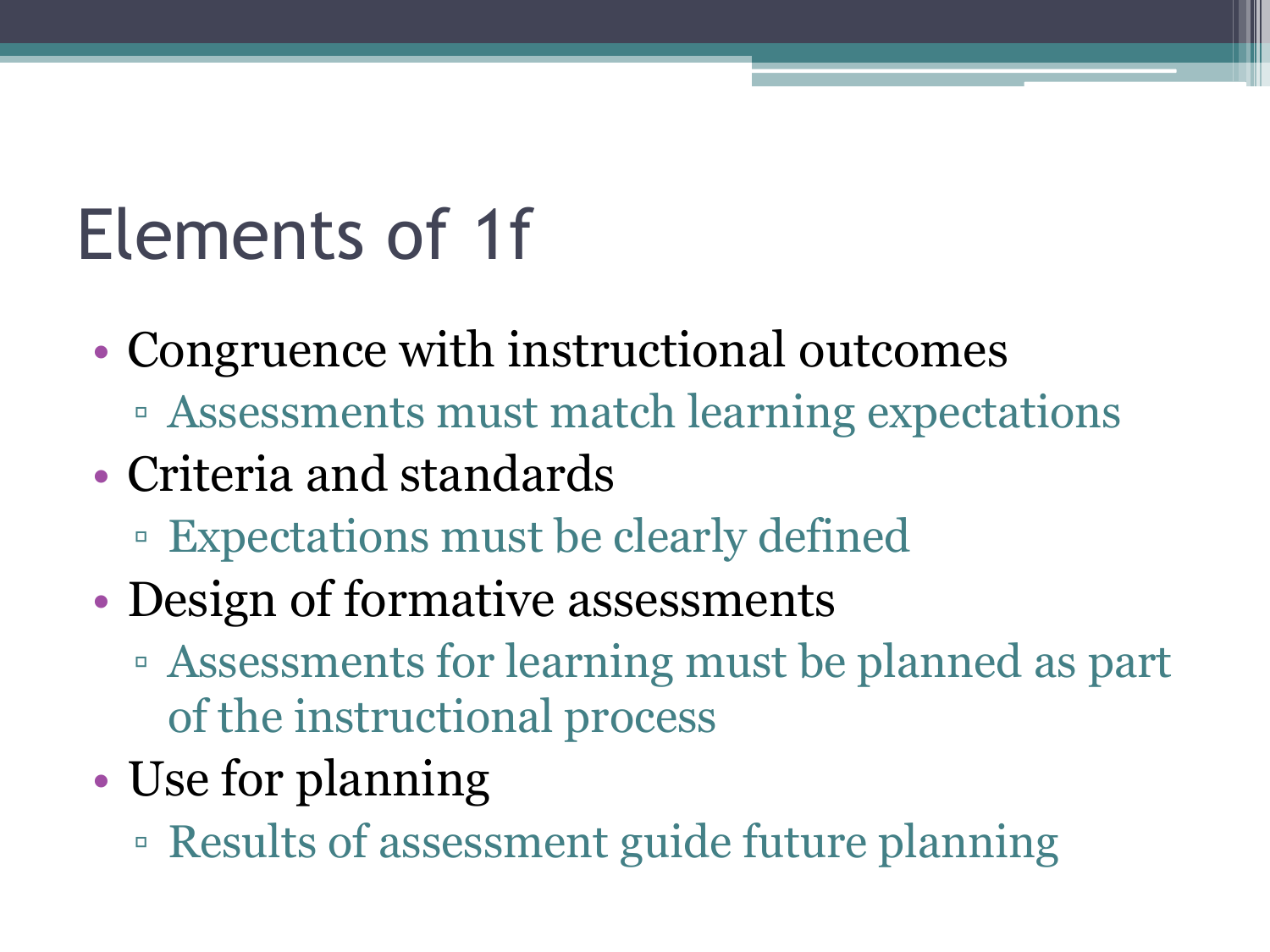#### Elements of 1f

- Congruence with instructional outcomes
	- Assessments must match learning expectations
- Criteria and standards
	- Expectations must be clearly defined
- Design of formative assessments
	- Assessments for learning must be planned as part of the instructional process
- Use for planning
	- Results of assessment guide future planning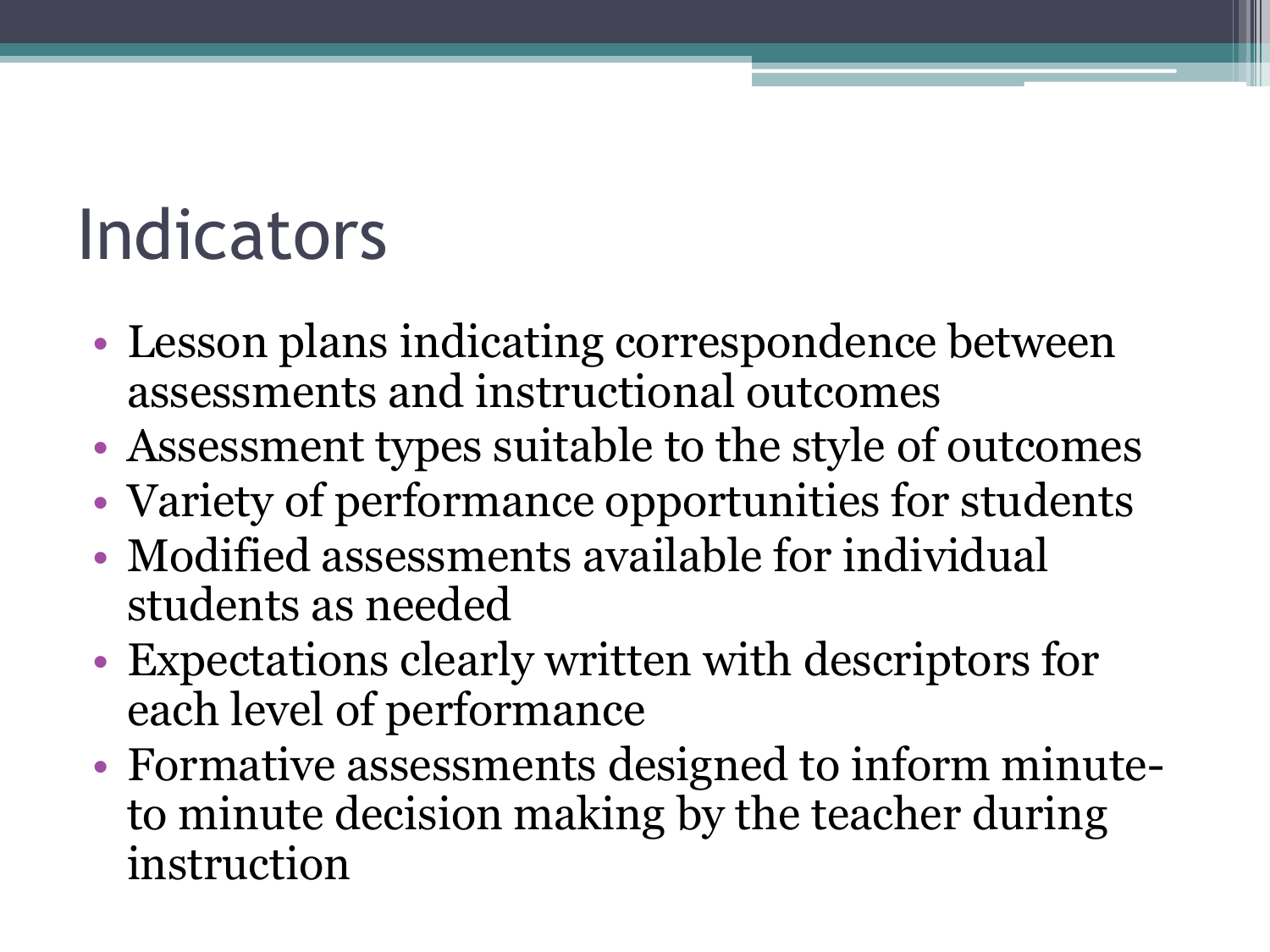#### **Indicators**

- Lesson plans indicating correspondence between assessments and instructional outcomes
- Assessment types suitable to the style of outcomes
- Variety of performance opportunities for students
- Modified assessments available for individual students as needed
- Expectations clearly written with descriptors for each level of performance
- Formative assessments designed to inform minuteto minute decision making by the teacher during instruction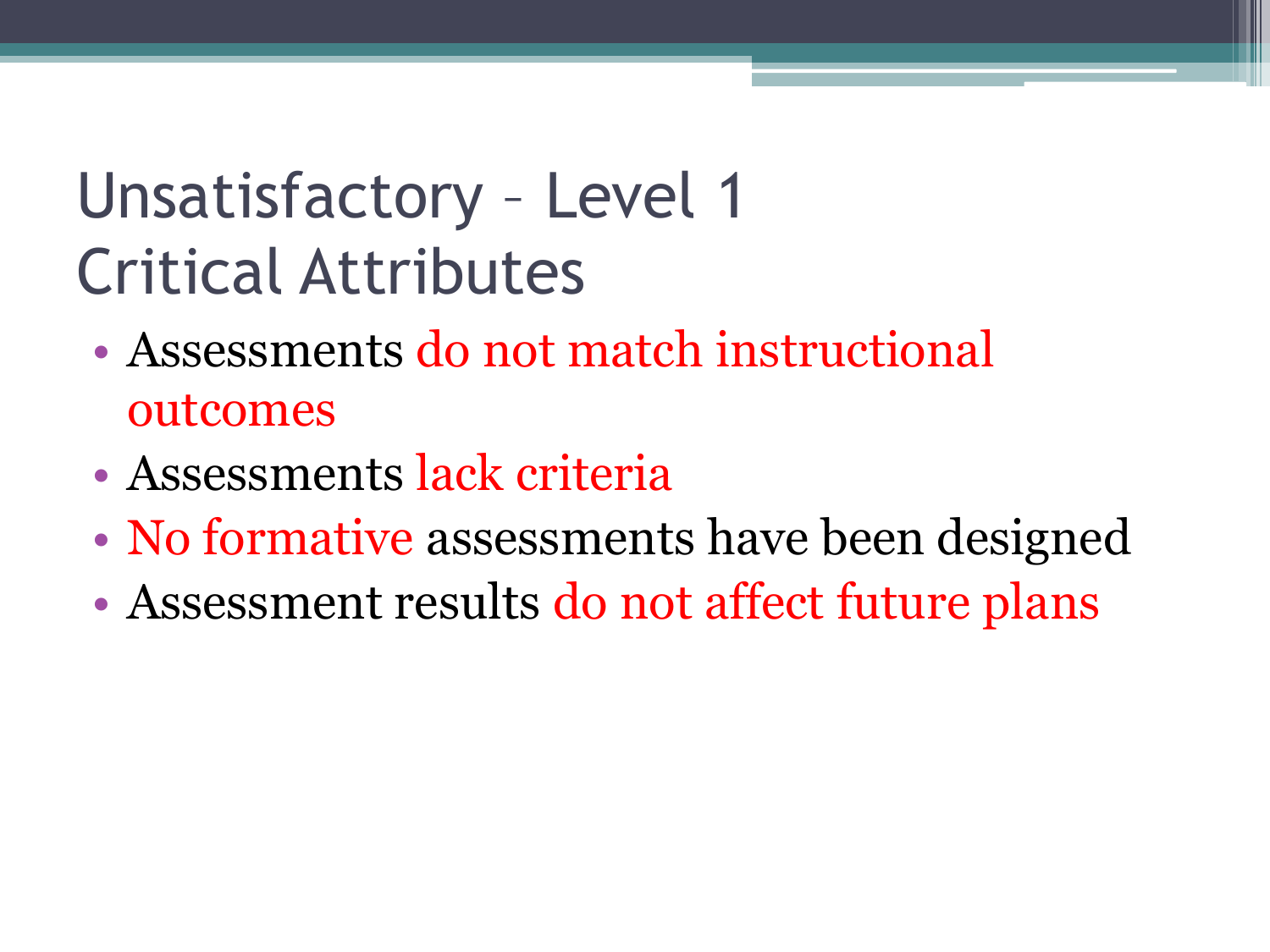#### Unsatisfactory – Level 1 Critical Attributes

- Assessments do not match instructional outcomes
- Assessments lack criteria
- No formative assessments have been designed
- Assessment results do not affect future plans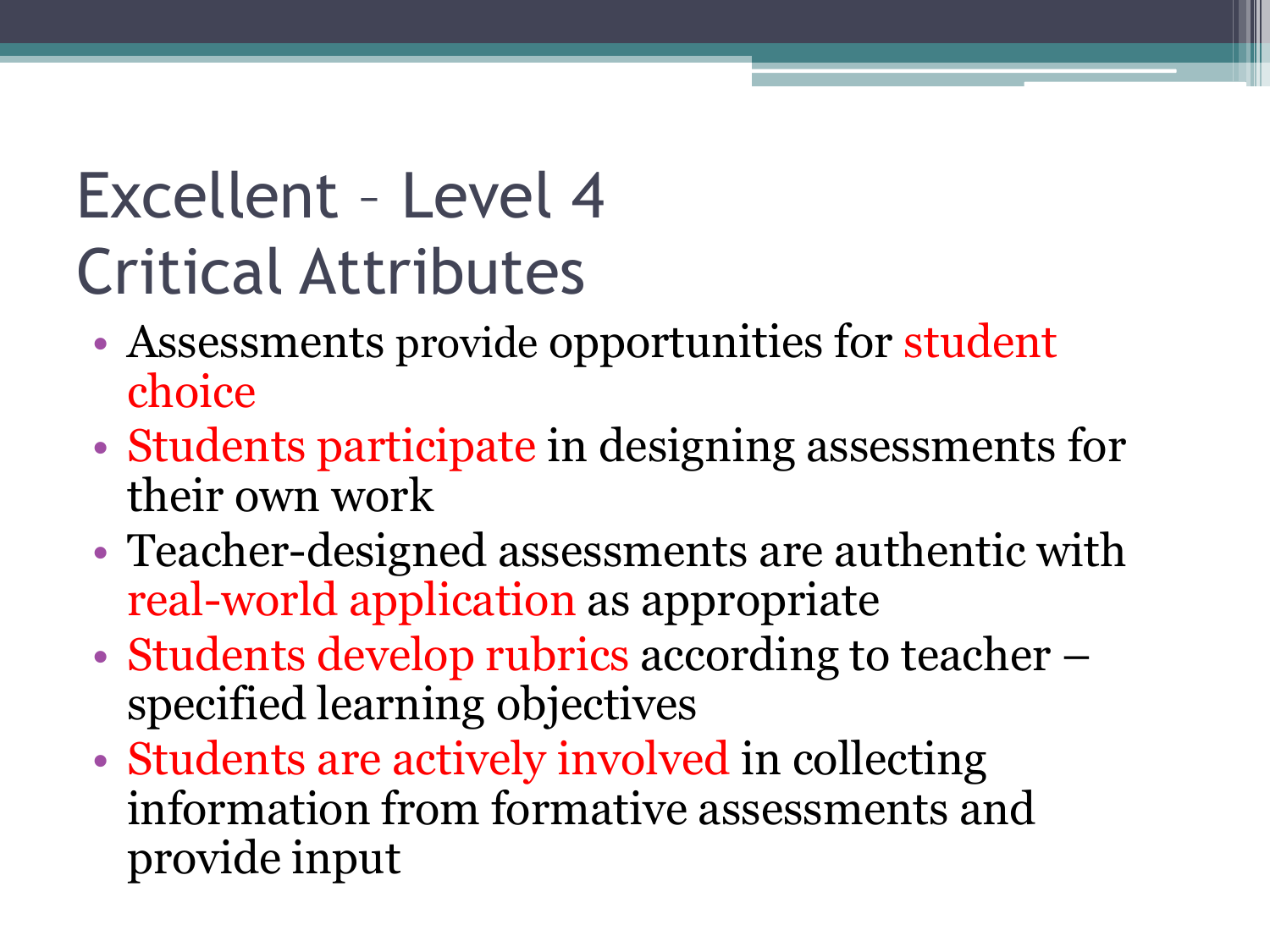#### Excellent – Level 4 Critical Attributes

- Assessments provide opportunities for student choice
- Students participate in designing assessments for their own work
- Teacher-designed assessments are authentic with real-world application as appropriate
- Students develop rubrics according to teacher specified learning objectives
- Students are actively involved in collecting information from formative assessments and provide input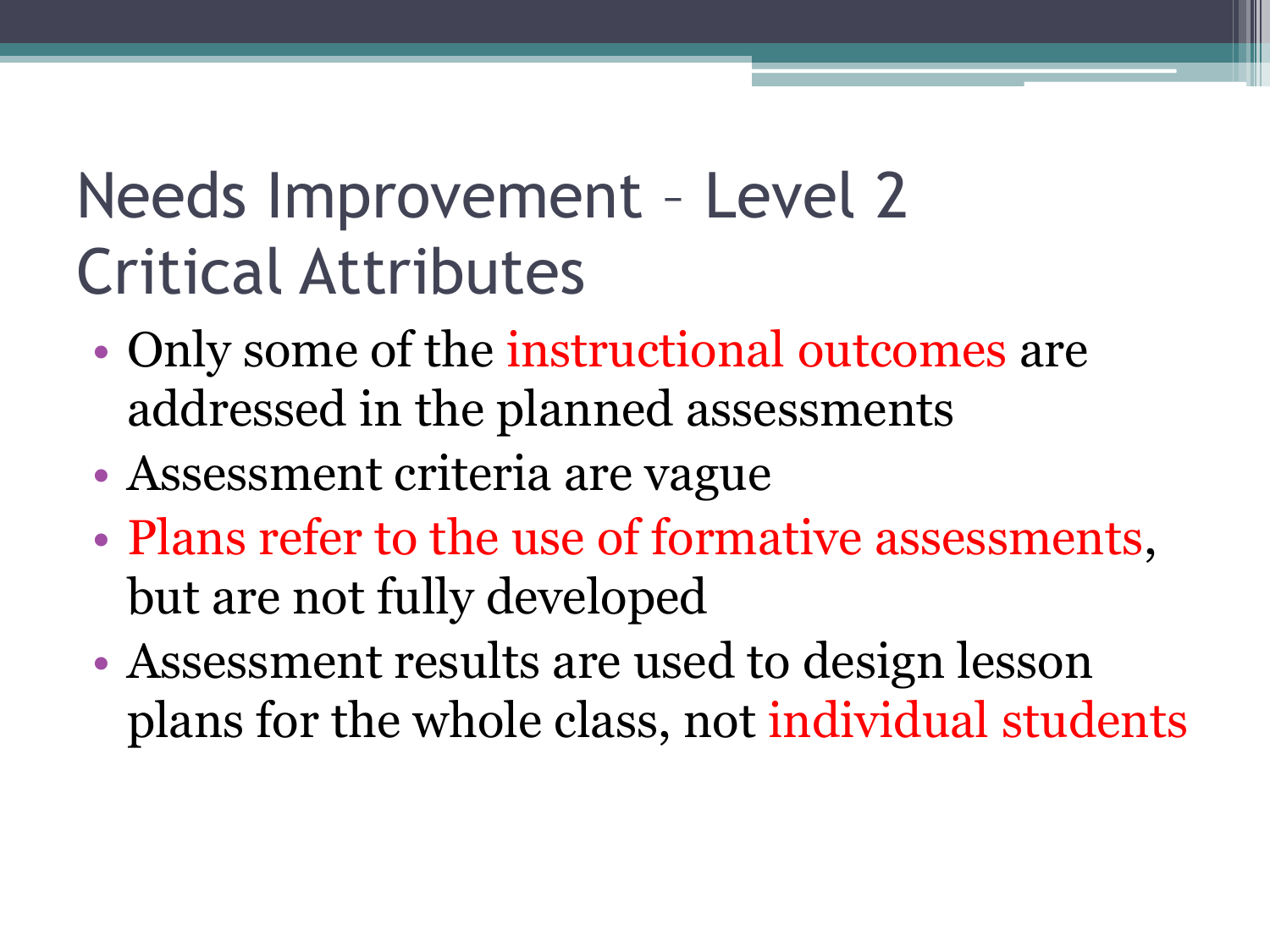#### Needs Improvement – Level 2 Critical Attributes

- Only some of the instructional outcomes are addressed in the planned assessments
- Assessment criteria are vague
- Plans refer to the use of formative assessments, but are not fully developed
- Assessment results are used to design lesson plans for the whole class, not individual students